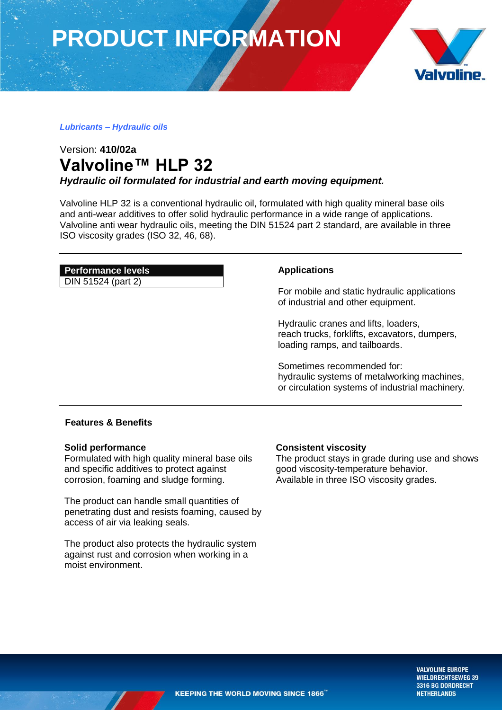**PRODUCT INFORMATION**



### *Lubricants – Hydraulic oils*

## Version: **410/02a Valvoline™ HLP 32**

*Hydraulic oil formulated for industrial and earth moving equipment.*

Valvoline HLP 32 is a conventional hydraulic oil, formulated with high quality mineral base oils and anti-wear additives to offer solid hydraulic performance in a wide range of applications. Valvoline anti wear hydraulic oils, meeting the DIN 51524 part 2 standard, are available in three ISO viscosity grades (ISO 32, 46, 68).

### **Performance levels**

DIN 51524 (part 2)

### **Applications**

For mobile and static hydraulic applications of industrial and other equipment.

Hydraulic cranes and lifts, loaders, reach trucks, forklifts, excavators, dumpers, loading ramps, and tailboards.

Sometimes recommended for: hydraulic systems of metalworking machines, or circulation systems of industrial machinery*.*

### **Features & Benefits**

### **Solid performance**

Formulated with high quality mineral base oils and specific additives to protect against corrosion, foaming and sludge forming.

The product can handle small quantities of penetrating dust and resists foaming, caused by access of air via leaking seals.

The product also protects the hydraulic system against rust and corrosion when working in a moist environment.

### **Consistent viscosity**

The product stays in grade during use and shows good viscosity-temperature behavior. Available in three ISO viscosity grades.

> **VALVOLINE EUROPE WIELDRECHTSEWEG 39** 3316 BG DORDRECHT **NETHERLANDS**